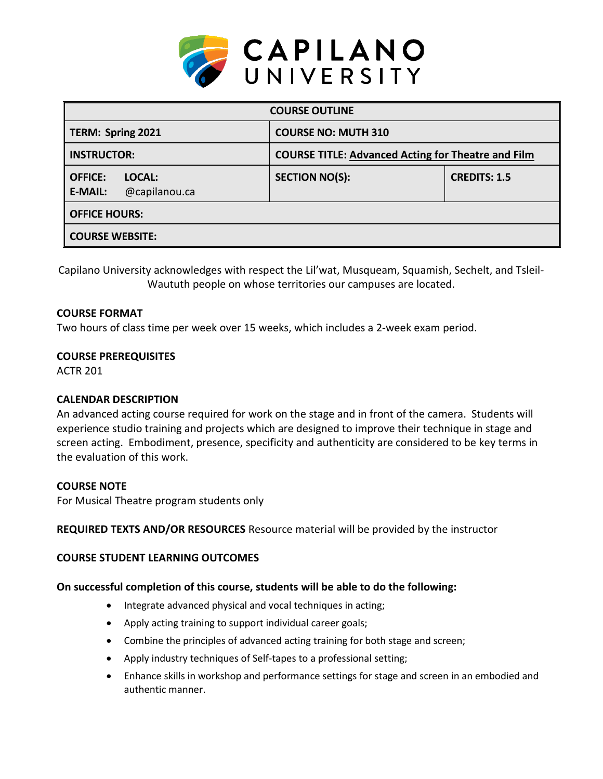

| <b>COURSE OUTLINE</b>                                       |                                                           |                     |  |  |  |  |
|-------------------------------------------------------------|-----------------------------------------------------------|---------------------|--|--|--|--|
| <b>TERM: Spring 2021</b>                                    | <b>COURSE NO: MUTH 310</b>                                |                     |  |  |  |  |
| <b>INSTRUCTOR:</b>                                          | <b>COURSE TITLE: Advanced Acting for Theatre and Film</b> |                     |  |  |  |  |
| <b>OFFICE:</b><br>LOCAL:<br>@capilanou.ca<br><b>E-MAIL:</b> | <b>SECTION NO(S):</b>                                     | <b>CREDITS: 1.5</b> |  |  |  |  |
| <b>OFFICE HOURS:</b>                                        |                                                           |                     |  |  |  |  |
| <b>COURSE WEBSITE:</b>                                      |                                                           |                     |  |  |  |  |

Capilano University acknowledges with respect the Lil'wat, Musqueam, Squamish, Sechelt, and Tsleil-Waututh people on whose territories our campuses are located.

### **COURSE FORMAT**

Two hours of class time per week over 15 weeks, which includes a 2-week exam period.

### **COURSE PREREQUISITES**

ACTR 201

### **CALENDAR DESCRIPTION**

An advanced acting course required for work on the stage and in front of the camera. Students will experience studio training and projects which are designed to improve their technique in stage and screen acting. Embodiment, presence, specificity and authenticity are considered to be key terms in the evaluation of this work.

### **COURSE NOTE**

For Musical Theatre program students only

### **REQUIRED TEXTS AND/OR RESOURCES** Resource material will be provided by the instructor

### **COURSE STUDENT LEARNING OUTCOMES**

### **On successful completion of this course, students will be able to do the following:**

- Integrate advanced physical and vocal techniques in acting;
- Apply acting training to support individual career goals;
- Combine the principles of advanced acting training for both stage and screen;
- Apply industry techniques of Self-tapes to a professional setting;
- Enhance skills in workshop and performance settings for stage and screen in an embodied and authentic manner.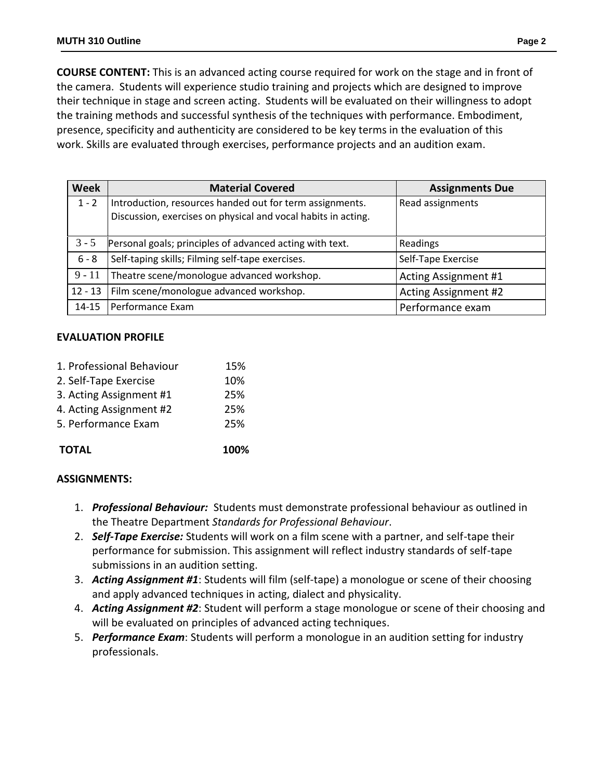**COURSE CONTENT:** This is an advanced acting course required for work on the stage and in front of the camera. Students will experience studio training and projects which are designed to improve their technique in stage and screen acting. Students will be evaluated on their willingness to adopt the training methods and successful synthesis of the techniques with performance. Embodiment, presence, specificity and authenticity are considered to be key terms in the evaluation of this work. Skills are evaluated through exercises, performance projects and an audition exam.

| <b>Week</b> | <b>Material Covered</b>                                                                                                   | <b>Assignments Due</b>      |
|-------------|---------------------------------------------------------------------------------------------------------------------------|-----------------------------|
| $1 - 2$     | Introduction, resources handed out for term assignments.<br>Discussion, exercises on physical and vocal habits in acting. | Read assignments            |
| $3 - 5$     | Personal goals; principles of advanced acting with text.                                                                  | Readings                    |
| $6 - 8$     | Self-taping skills; Filming self-tape exercises.                                                                          | Self-Tape Exercise          |
| $9 - 11$    | Theatre scene/monologue advanced workshop.                                                                                | Acting Assignment #1        |
| $12 - 13$   | Film scene/monologue advanced workshop.                                                                                   | <b>Acting Assignment #2</b> |
| $14 - 15$   | Performance Exam                                                                                                          | Performance exam            |

## **EVALUATION PROFILE**

| <b>TOTAL</b>              | 100% |
|---------------------------|------|
| 5. Performance Exam       | 25%  |
| 4. Acting Assignment #2   | 25%  |
| 3. Acting Assignment #1   | 25%  |
| 2. Self-Tape Exercise     | 10%  |
| 1. Professional Behaviour | 15%  |

# **ASSIGNMENTS:**

- 1. *Professional Behaviour:* Students must demonstrate professional behaviour as outlined in the Theatre Department *Standards for Professional Behaviour*.
- 2. *Self-Tape Exercise:* Students will work on a film scene with a partner, and self-tape their performance for submission. This assignment will reflect industry standards of self-tape submissions in an audition setting.
- 3. *Acting Assignment #1*: Students will film (self-tape) a monologue or scene of their choosing and apply advanced techniques in acting, dialect and physicality.
- 4. *Acting Assignment #2*: Student will perform a stage monologue or scene of their choosing and will be evaluated on principles of advanced acting techniques.
- 5. *Performance Exam*: Students will perform a monologue in an audition setting for industry professionals.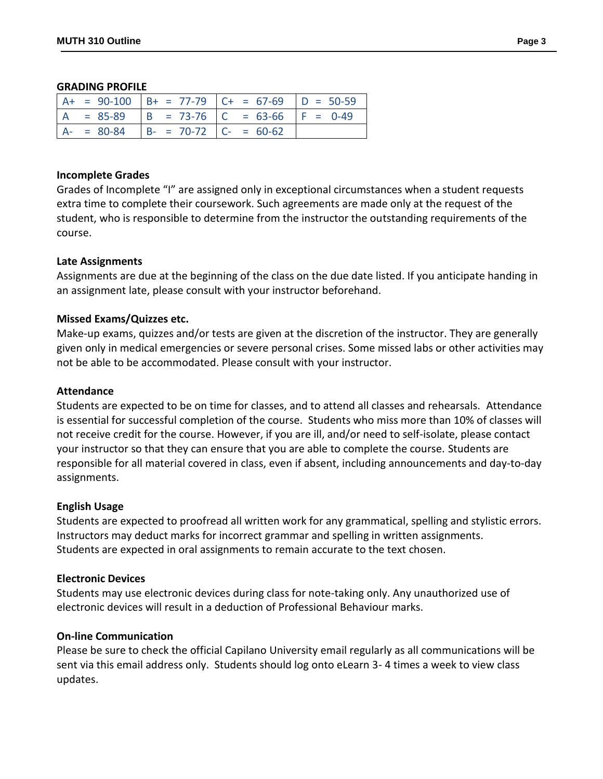#### **GRADING PROFILE**

|  |                                        | $A+ = 90-100$ $B+ = 77-79$ $C+ = 67-69$ $D = 50-59$ |  |
|--|----------------------------------------|-----------------------------------------------------|--|
|  |                                        | $A = 85-89$ $B = 73-76$ $C = 63-66$ $F = 0-49$      |  |
|  | $A- = 80-84$ $B- = 70-72$ $C- = 60-62$ |                                                     |  |

### **Incomplete Grades**

Grades of Incomplete "I" are assigned only in exceptional circumstances when a student requests extra time to complete their coursework. Such agreements are made only at the request of the student, who is responsible to determine from the instructor the outstanding requirements of the course.

### **Late Assignments**

Assignments are due at the beginning of the class on the due date listed. If you anticipate handing in an assignment late, please consult with your instructor beforehand.

### **Missed Exams/Quizzes etc.**

Make-up exams, quizzes and/or tests are given at the discretion of the instructor. They are generally given only in medical emergencies or severe personal crises. Some missed labs or other activities may not be able to be accommodated. Please consult with your instructor.

#### **Attendance**

Students are expected to be on time for classes, and to attend all classes and rehearsals. Attendance is essential for successful completion of the course. Students who miss more than 10% of classes will not receive credit for the course. However, if you are ill, and/or need to self-isolate, please contact your instructor so that they can ensure that you are able to complete the course. Students are responsible for all material covered in class, even if absent, including announcements and day-to-day assignments.

#### **English Usage**

Students are expected to proofread all written work for any grammatical, spelling and stylistic errors. Instructors may deduct marks for incorrect grammar and spelling in written assignments. Students are expected in oral assignments to remain accurate to the text chosen.

### **Electronic Devices**

Students may use electronic devices during class for note-taking only. Any unauthorized use of electronic devices will result in a deduction of Professional Behaviour marks.

#### **On-line Communication**

Please be sure to check the official Capilano University email regularly as all communications will be sent via this email address only. Students should log onto eLearn 3- 4 times a week to view class updates.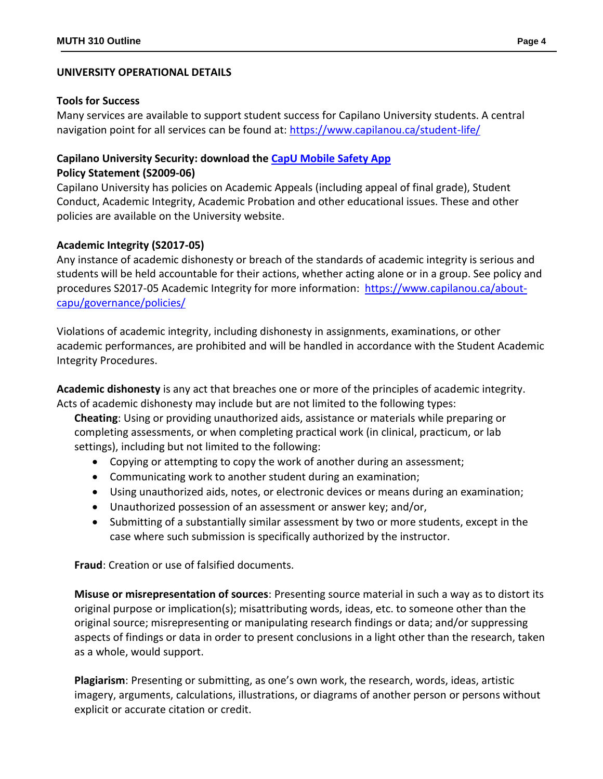## **UNIVERSITY OPERATIONAL DETAILS**

## **Tools for Success**

Many services are available to support student success for Capilano University students. A central navigation point for all services can be found at:<https://www.capilanou.ca/student-life/>

# **Capilano University Security: download the [CapU Mobile Safety App](https://www.capilanou.ca/student-life/support--wellness/safety--security/capu-safe-app/) Policy Statement (S2009-06)**

Capilano University has policies on Academic Appeals (including appeal of final grade), Student Conduct, Academic Integrity, Academic Probation and other educational issues. These and other policies are available on the University website.

## **Academic Integrity (S2017-05)**

Any instance of academic dishonesty or breach of the standards of academic integrity is serious and students will be held accountable for their actions, whether acting alone or in a group. See policy and procedures S2017-05 Academic Integrity for more information: [https://www.capilanou.ca/about](https://www.capilanou.ca/about-capu/governance/policies/)[capu/governance/policies/](https://www.capilanou.ca/about-capu/governance/policies/)

Violations of academic integrity, including dishonesty in assignments, examinations, or other academic performances, are prohibited and will be handled in accordance with the Student Academic Integrity Procedures.

**Academic dishonesty** is any act that breaches one or more of the principles of academic integrity. Acts of academic dishonesty may include but are not limited to the following types:

**Cheating**: Using or providing unauthorized aids, assistance or materials while preparing or completing assessments, or when completing practical work (in clinical, practicum, or lab settings), including but not limited to the following:

- Copying or attempting to copy the work of another during an assessment;
- Communicating work to another student during an examination;
- Using unauthorized aids, notes, or electronic devices or means during an examination;
- Unauthorized possession of an assessment or answer key; and/or,
- Submitting of a substantially similar assessment by two or more students, except in the case where such submission is specifically authorized by the instructor.

**Fraud**: Creation or use of falsified documents.

**Misuse or misrepresentation of sources**: Presenting source material in such a way as to distort its original purpose or implication(s); misattributing words, ideas, etc. to someone other than the original source; misrepresenting or manipulating research findings or data; and/or suppressing aspects of findings or data in order to present conclusions in a light other than the research, taken as a whole, would support.

**Plagiarism**: Presenting or submitting, as one's own work, the research, words, ideas, artistic imagery, arguments, calculations, illustrations, or diagrams of another person or persons without explicit or accurate citation or credit.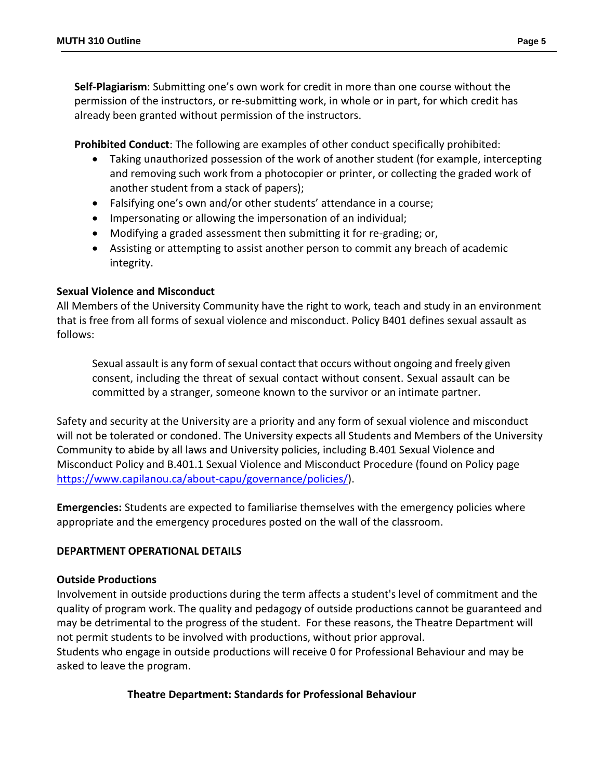**Self-Plagiarism**: Submitting one's own work for credit in more than one course without the permission of the instructors, or re-submitting work, in whole or in part, for which credit has already been granted without permission of the instructors.

**Prohibited Conduct**: The following are examples of other conduct specifically prohibited:

- Taking unauthorized possession of the work of another student (for example, intercepting and removing such work from a photocopier or printer, or collecting the graded work of another student from a stack of papers);
- Falsifying one's own and/or other students' attendance in a course;
- Impersonating or allowing the impersonation of an individual;
- Modifying a graded assessment then submitting it for re-grading; or,
- Assisting or attempting to assist another person to commit any breach of academic integrity.

# **Sexual Violence and Misconduct**

All Members of the University Community have the right to work, teach and study in an environment that is free from all forms of sexual violence and misconduct. Policy B401 defines sexual assault as follows:

Sexual assault is any form of sexual contact that occurs without ongoing and freely given consent, including the threat of sexual contact without consent. Sexual assault can be committed by a stranger, someone known to the survivor or an intimate partner.

Safety and security at the University are a priority and any form of sexual violence and misconduct will not be tolerated or condoned. The University expects all Students and Members of the University Community to abide by all laws and University policies, including B.401 Sexual Violence and Misconduct Policy and B.401.1 Sexual Violence and Misconduct Procedure (found on Policy page [https://www.capilanou.ca/about-capu/governance/policies/\)](https://www.capilanou.ca/about-capu/governance/policies/).

**Emergencies:** Students are expected to familiarise themselves with the emergency policies where appropriate and the emergency procedures posted on the wall of the classroom.

# **DEPARTMENT OPERATIONAL DETAILS**

## **Outside Productions**

Involvement in outside productions during the term affects a student's level of commitment and the quality of program work. The quality and pedagogy of outside productions cannot be guaranteed and may be detrimental to the progress of the student. For these reasons, the Theatre Department will not permit students to be involved with productions, without prior approval.

Students who engage in outside productions will receive 0 for Professional Behaviour and may be asked to leave the program.

# **Theatre Department: Standards for Professional Behaviour**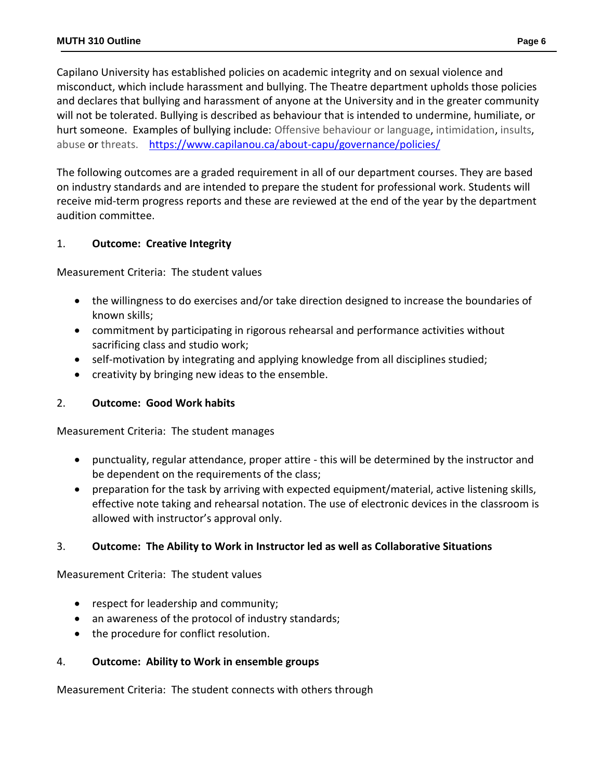Capilano University has established policies on academic integrity and on sexual violence and misconduct, which include harassment and bullying. The Theatre department upholds those policies and declares that bullying and harassment of anyone at the University and in the greater community will not be tolerated. Bullying is described as behaviour that is intended to undermine, humiliate, or hurt someone. Examples of bullying include: Offensive behaviour or language, intimidation, insults, abuse or threats. <https://www.capilanou.ca/about-capu/governance/policies/>

The following outcomes are a graded requirement in all of our department courses. They are based on industry standards and are intended to prepare the student for professional work. Students will receive mid-term progress reports and these are reviewed at the end of the year by the department audition committee.

# 1. **Outcome: Creative Integrity**

Measurement Criteria: The student values

- the willingness to do exercises and/or take direction designed to increase the boundaries of known skills;
- commitment by participating in rigorous rehearsal and performance activities without sacrificing class and studio work;
- self-motivation by integrating and applying knowledge from all disciplines studied;
- creativity by bringing new ideas to the ensemble.

# 2. **Outcome: Good Work habits**

Measurement Criteria: The student manages

- punctuality, regular attendance, proper attire this will be determined by the instructor and be dependent on the requirements of the class;
- preparation for the task by arriving with expected equipment/material, active listening skills, effective note taking and rehearsal notation. The use of electronic devices in the classroom is allowed with instructor's approval only.

# 3. **Outcome: The Ability to Work in Instructor led as well as Collaborative Situations**

Measurement Criteria: The student values

- respect for leadership and community;
- an awareness of the protocol of industry standards;
- the procedure for conflict resolution.

# 4. **Outcome: Ability to Work in ensemble groups**

Measurement Criteria: The student connects with others through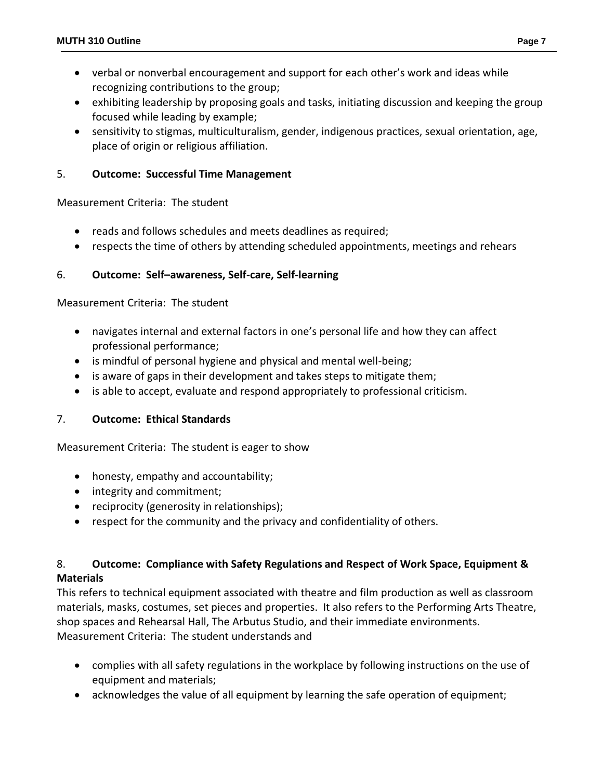- verbal or nonverbal encouragement and support for each other's work and ideas while recognizing contributions to the group;
- exhibiting leadership by proposing goals and tasks, initiating discussion and keeping the group focused while leading by example;
- sensitivity to stigmas, multiculturalism, gender, indigenous practices, sexual orientation, age, place of origin or religious affiliation.

## 5. **Outcome: Successful Time Management**

Measurement Criteria: The student

- reads and follows schedules and meets deadlines as required;
- respects the time of others by attending scheduled appointments, meetings and rehears

## 6. **Outcome: Self–awareness, Self-care, Self-learning**

Measurement Criteria: The student

- navigates internal and external factors in one's personal life and how they can affect professional performance;
- is mindful of personal hygiene and physical and mental well-being;
- is aware of gaps in their development and takes steps to mitigate them;
- is able to accept, evaluate and respond appropriately to professional criticism.

## 7. **Outcome: Ethical Standards**

Measurement Criteria: The student is eager to show

- honesty, empathy and accountability;
- integrity and commitment;
- reciprocity (generosity in relationships);
- respect for the community and the privacy and confidentiality of others.

## 8. **Outcome: Compliance with Safety Regulations and Respect of Work Space, Equipment & Materials**

This refers to technical equipment associated with theatre and film production as well as classroom materials, masks, costumes, set pieces and properties. It also refers to the Performing Arts Theatre, shop spaces and Rehearsal Hall, The Arbutus Studio, and their immediate environments. Measurement Criteria: The student understands and

- complies with all safety regulations in the workplace by following instructions on the use of equipment and materials;
- acknowledges the value of all equipment by learning the safe operation of equipment;